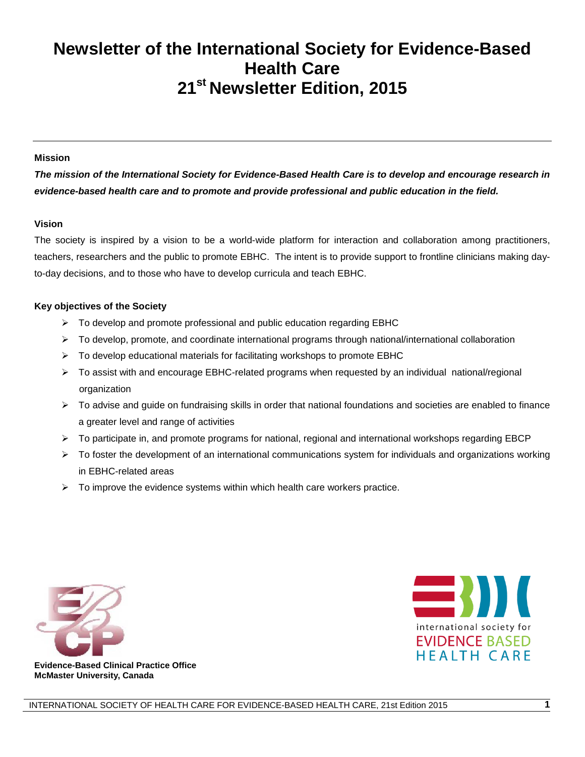# **Newsletter of the International Society for Evidence-Based Health Care 21st Newsletter Edition, 2015**

#### **Mission**

*The mission of the International Society for Evidence-Based Health Care is to develop and encourage research in evidence-based health care and to promote and provide professional and public education in the field.*

#### **Vision**

The society is inspired by a vision to be a world-wide platform for interaction and collaboration among practitioners, teachers, researchers and the public to promote EBHC. The intent is to provide support to frontline clinicians making dayto-day decisions, and to those who have to develop curricula and teach EBHC.

#### **Key objectives of the Society**

- $\triangleright$  To develop and promote professional and public education regarding EBHC
- $\triangleright$  To develop, promote, and coordinate international programs through national/international collaboration
- $\triangleright$  To develop educational materials for facilitating workshops to promote EBHC
- $\triangleright$  To assist with and encourage EBHC-related programs when requested by an individual national/regional organization
- $\triangleright$  To advise and guide on fundraising skills in order that national foundations and societies are enabled to finance a greater level and range of activities
- $\triangleright$  To participate in, and promote programs for national, regional and international workshops regarding EBCP
- $\triangleright$  To foster the development of an international communications system for individuals and organizations working in EBHC-related areas
- $\triangleright$  To improve the evidence systems within which health care workers practice.



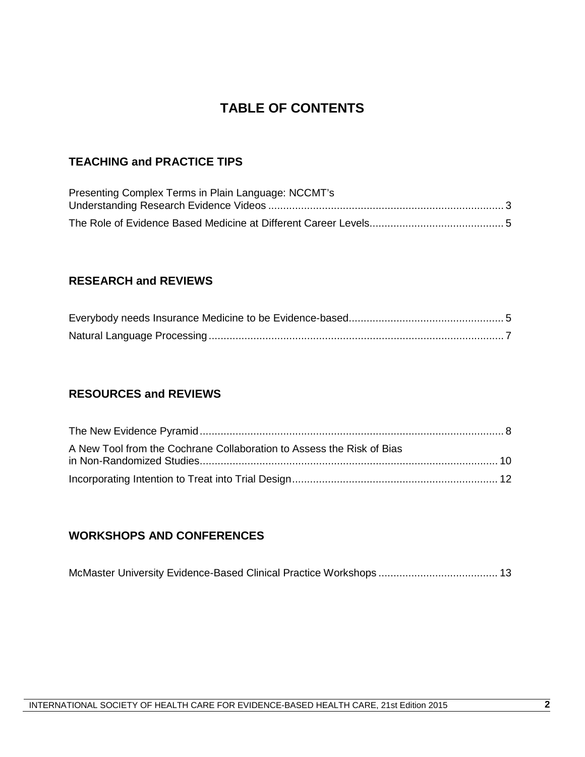# **TABLE OF CONTENTS**

# **TEACHING and PRACTICE TIPS**

| Presenting Complex Terms in Plain Language: NCCMT's |  |
|-----------------------------------------------------|--|
|                                                     |  |
|                                                     |  |

## **RESEARCH and REVIEWS**

# **RESOURCES and REVIEWS**

| A New Tool from the Cochrane Collaboration to Assess the Risk of Bias |  |
|-----------------------------------------------------------------------|--|
|                                                                       |  |
|                                                                       |  |

## **WORKSHOPS AND CONFERENCES**

|--|--|--|--|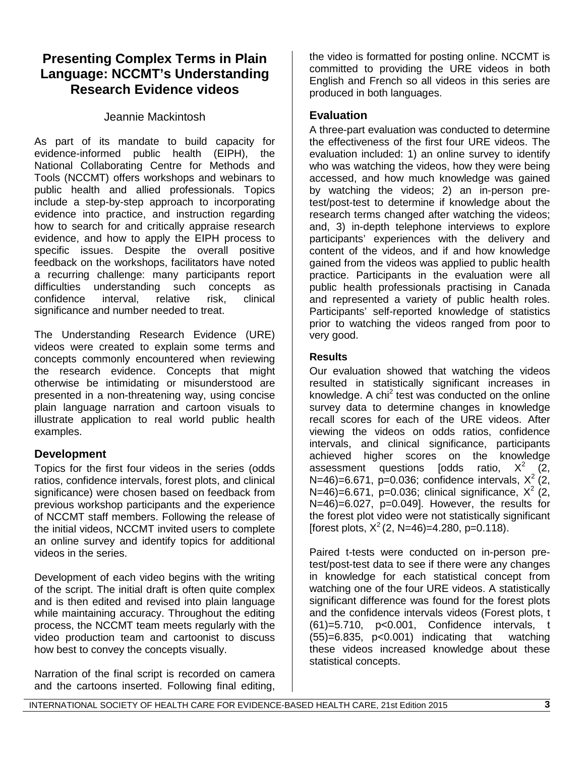# **Presenting Complex Terms in Plain Language: NCCMT's Understanding Research Evidence videos**

# Jeannie Mackintosh

As part of its mandate to build capacity for evidence-informed public health (EIPH), the National Collaborating Centre for Methods and Tools (NCCMT) offers workshops and webinars to public health and allied professionals. Topics include a step-by-step approach to incorporating evidence into practice, and instruction regarding how to search for and critically appraise research evidence, and how to apply the EIPH process to specific issues. Despite the overall positive feedback on the workshops, facilitators have noted a recurring challenge: many participants report difficulties understanding such concepts as confidence interval, relative risk, clinical significance and number needed to treat.

The Understanding Research Evidence (URE) videos were created to explain some terms and concepts commonly encountered when reviewing the research evidence. Concepts that might otherwise be intimidating or misunderstood are presented in a non-threatening way, using concise plain language narration and cartoon visuals to illustrate application to real world public health examples.

# **Development**

Topics for the first four videos in the series (odds ratios, confidence intervals, forest plots, and clinical significance) were chosen based on feedback from previous workshop participants and the experience of NCCMT staff members. Following the release of the initial videos, NCCMT invited users to complete an online survey and identify topics for additional videos in the series.

Development of each video begins with the writing of the script. The initial draft is often quite complex and is then edited and revised into plain language while maintaining accuracy. Throughout the editing process, the NCCMT team meets regularly with the video production team and cartoonist to discuss how best to convey the concepts visually.

Narration of the final script is recorded on camera and the cartoons inserted. Following final editing,

the video is formatted for posting online. NCCMT is committed to providing the URE videos in both English and French so all videos in this series are produced in both languages.

## **Evaluation**

A three-part evaluation was conducted to determine the effectiveness of the first four URE videos. The evaluation included: 1) an online survey to identify who was watching the videos, how they were being accessed, and how much knowledge was gained by watching the videos; 2) an in-person pretest/post-test to determine if knowledge about the research terms changed after watching the videos; and, 3) in-depth telephone interviews to explore participants' experiences with the delivery and content of the videos, and if and how knowledge gained from the videos was applied to public health practice. Participants in the evaluation were all public health professionals practising in Canada and represented a variety of public health roles. Participants' self-reported knowledge of statistics prior to watching the videos ranged from poor to very good.

### **Results**

Our evaluation showed that watching the videos resulted in statistically significant increases in knowledge. A chi<sup>2</sup> test was conducted on the online survey data to determine changes in knowledge recall scores for each of the URE videos. After viewing the videos on odds ratios, confidence intervals, and clinical significance, participants achieved higher scores on the knowledge<br>assessment questions [odds ratio,  $X^2$  (2, assessment questions [odds ratio, N=46)=6.671, p=0.036; confidence intervals,  $X^2$  (2, N=46)=6.671, p=0.036; clinical significance,  $X^2$  (2, N=46)=6.027, p=0.049]. However, the results for the forest plot video were not statistically significant [forest plots,  $X^2$  (2, N=46)=4.280, p=0.118).

Paired t-tests were conducted on in-person pretest/post-test data to see if there were any changes in knowledge for each statistical concept from watching one of the four URE videos. A statistically significant difference was found for the forest plots and the confidence intervals videos (Forest plots, t (61)=5.710, p<0.001, Confidence intervals, t  $(55)=6.835$ ,  $p<0.001$  indicating that watching these videos increased knowledge about these statistical concepts.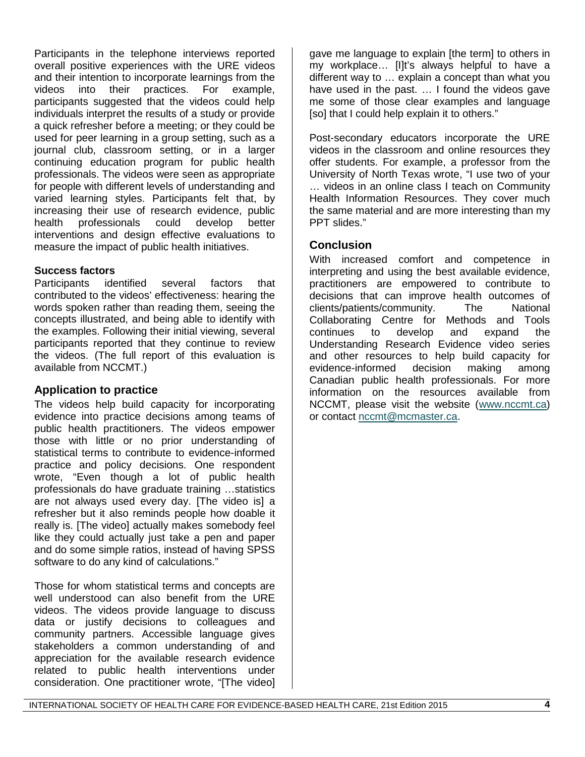Participants in the telephone interviews reported overall positive experiences with the URE videos and their intention to incorporate learnings from the videos into their practices. For example, participants suggested that the videos could help individuals interpret the results of a study or provide a quick refresher before a meeting; or they could be used for peer learning in a group setting, such as a journal club, classroom setting, or in a larger continuing education program for public health professionals. The videos were seen as appropriate for people with different levels of understanding and varied learning styles. Participants felt that, by increasing their use of research evidence, public health professionals could develop better interventions and design effective evaluations to measure the impact of public health initiatives.

### **Success factors**

Participants identified several factors that contributed to the videos' effectiveness: hearing the words spoken rather than reading them, seeing the concepts illustrated, and being able to identify with the examples. Following their initial viewing, several participants reported that they continue to review the videos. (The full report of this evaluation is available from NCCMT.)

## **Application to practice**

The videos help build capacity for incorporating evidence into practice decisions among teams of public health practitioners. The videos empower those with little or no prior understanding of statistical terms to contribute to evidence-informed practice and policy decisions. One respondent wrote, "Even though a lot of public health professionals do have graduate training …statistics are not always used every day. [The video is] a refresher but it also reminds people how doable it really is. [The video] actually makes somebody feel like they could actually just take a pen and paper and do some simple ratios, instead of having SPSS software to do any kind of calculations."

Those for whom statistical terms and concepts are well understood can also benefit from the URE videos. The videos provide language to discuss data or justify decisions to colleagues and community partners. Accessible language gives stakeholders a common understanding of and appreciation for the available research evidence related to public health interventions under consideration. One practitioner wrote, "[The video]

gave me language to explain [the term] to others in my workplace… [I]t's always helpful to have a different way to … explain a concept than what you have used in the past. … I found the videos gave me some of those clear examples and language [so] that I could help explain it to others."

Post-secondary educators incorporate the URE videos in the classroom and online resources they offer students. For example, a professor from the University of North Texas wrote, "I use two of your … videos in an online class I teach on Community Health Information Resources. They cover much the same material and are more interesting than my PPT slides."

## **Conclusion**

With increased comfort and competence in interpreting and using the best available evidence, practitioners are empowered to contribute to decisions that can improve health outcomes of clients/patients/community. The National Collaborating Centre for Methods and Tools continues to develop and expand the Understanding Research Evidence video series and other resources to help build capacity for evidence-informed decision making among Canadian public health professionals. For more information on the resources available from NCCMT, please visit the website [\(www.nccmt.ca\)](http://www.nccmt.ca/) or contact [nccmt@mcmaster.ca.](mailto:nccmt@mcmaster.ca)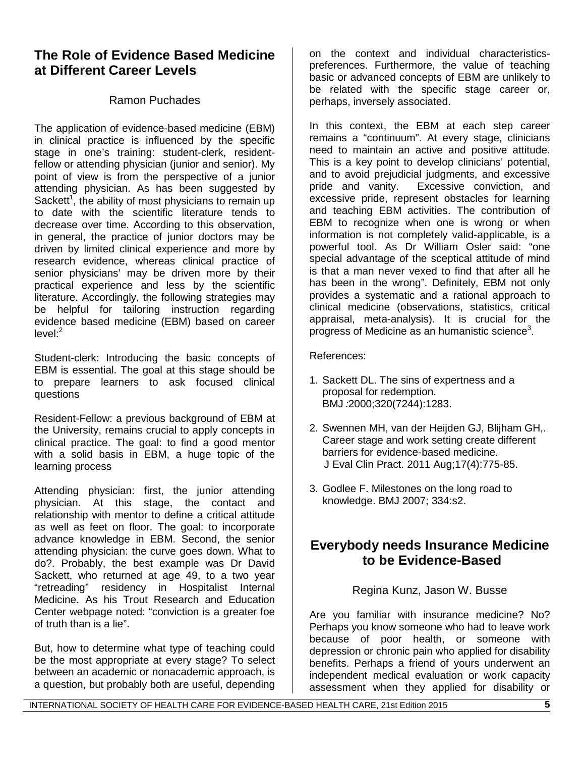# **The Role of Evidence Based Medicine at Different Career Levels**

## Ramon Puchades

The application of evidence-based medicine (EBM) in clinical practice is influenced by the specific stage in one's training: student-clerk, residentfellow or attending physician (junior and senior). My point of view is from the perspective of a junior attending physician. As has been suggested by Sackett<sup>1</sup>, the ability of most physicians to remain up to date with the scientific literature tends to decrease over time. According to this observation, in general, the practice of junior doctors may be driven by limited clinical experience and more by research evidence, whereas clinical practice of senior physicians' may be driven more by their practical experience and less by the scientific literature. Accordingly, the following strategies may be helpful for tailoring instruction regarding evidence based medicine (EBM) based on career  $level<sup>2</sup>$ 

Student-clerk: Introducing the basic concepts of EBM is essential. The goal at this stage should be to prepare learners to ask focused clinical questions

Resident-Fellow: a previous background of EBM at the University, remains crucial to apply concepts in clinical practice. The goal: to find a good mentor with a solid basis in EBM, a huge topic of the learning process

Attending physician: first, the junior attending physician. At this stage, the contact and relationship with mentor to define a critical attitude as well as feet on floor. The goal: to incorporate advance knowledge in EBM. Second, the senior attending physician: the curve goes down. What to do?. Probably, the best example was Dr David Sackett, who returned at age 49, to a two year "retreading" residency in Hospitalist Internal Medicine. As his Trout Research and Education Center webpage noted: "conviction is a greater foe of truth than is a lie".

But, how to determine what type of teaching could be the most appropriate at every stage? To select between an academic or nonacademic approach, is a question, but probably both are useful, depending

on the context and individual characteristicspreferences. Furthermore, the value of teaching basic or advanced concepts of EBM are unlikely to be related with the specific stage career or, perhaps, inversely associated.

In this context, the EBM at each step career remains a "continuum". At every stage, clinicians need to maintain an active and positive attitude. This is a key point to develop clinicians' potential, and to avoid prejudicial judgments, and excessive pride and vanity. Excessive conviction, and excessive pride, represent obstacles for learning and teaching EBM activities. The contribution of EBM to recognize when one is wrong or when information is not completely valid-applicable, is a powerful tool. As Dr William Osler said: "one special advantage of the sceptical attitude of mind is that a man never vexed to find that after all he has been in the wrong". Definitely, EBM not only provides a systematic and a rational approach to clinical medicine (observations, statistics, critical appraisal, meta-analysis). It is crucial for the progress of Medicine as an humanistic science<sup>3</sup>.

References:

- 1. Sackett DL. The sins of expertness and a proposal for redemption. BMJ*:*2000;320(7244):1283.
- 2. Swennen MH, van der Heijden GJ, Blijham GH,. Career stage and work setting create different barriers for evidence-based medicine. J Eval Clin Pract. 2011 Aug;17(4):775-85.
- 3. Godlee F. Milestones on the long road to knowledge. BMJ 2007; 334:s2.

# **Everybody needs Insurance Medicine to be Evidence-Based**

Regina Kunz, Jason W. Busse

Are you familiar with insurance medicine? No? Perhaps you know someone who had to leave work because of poor health, or someone with depression or chronic pain who applied for disability benefits. Perhaps a friend of yours underwent an independent medical evaluation or work capacity assessment when they applied for disability or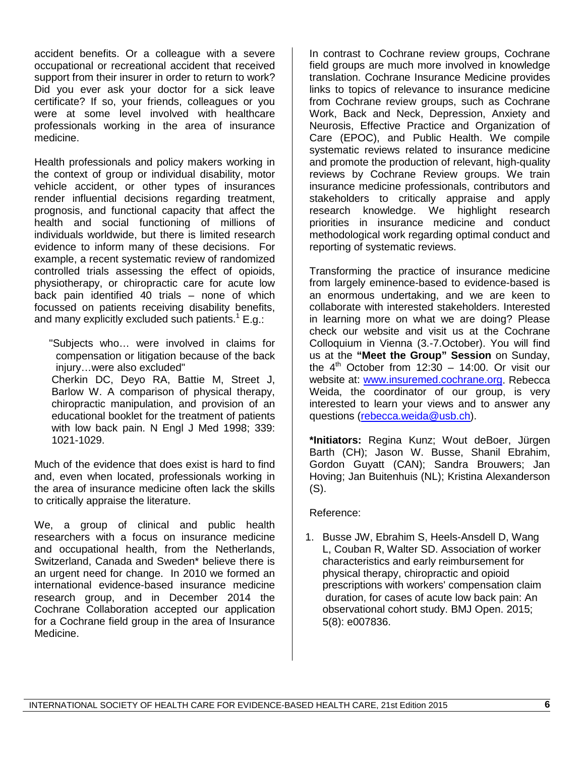accident benefits. Or a colleague with a severe occupational or recreational accident that received support from their insurer in order to return to work? Did you ever ask your doctor for a sick leave certificate? If so, your friends, colleagues or you were at some level involved with healthcare professionals working in the area of insurance medicine.

Health professionals and policy makers working in the context of group or individual disability, motor vehicle accident, or other types of insurances render influential decisions regarding treatment, prognosis, and functional capacity that affect the health and social functioning of millions of individuals worldwide, but there is limited research evidence to inform many of these decisions. For example, a recent systematic review of randomized controlled trials assessing the effect of opioids, physiotherapy, or chiropractic care for acute low back pain identified 40 trials – none of which focussed on patients receiving disability benefits, and many explicitly excluded such patients.<sup>1</sup> E.g.:

"Subjects who… were involved in claims for compensation or litigation because of the back injury…were also excluded"

Cherkin DC, Deyo RA, Battie M, Street J, Barlow W. A comparison of physical therapy, chiropractic manipulation, and provision of an educational booklet for the treatment of patients with low back pain. N Engl J Med 1998; 339: 1021-1029.

Much of the evidence that does exist is hard to find and, even when located, professionals working in the area of insurance medicine often lack the skills to critically appraise the literature.

We, a group of clinical and public health researchers with a focus on insurance medicine and occupational health, from the Netherlands, Switzerland, Canada and Sweden\* believe there is an urgent need for change. In 2010 we formed an international evidence-based insurance medicine research group, and in December 2014 the Cochrane Collaboration accepted our application for a Cochrane field group in the area of Insurance Medicine.

In contrast to Cochrane review groups, Cochrane field groups are much more involved in knowledge translation. Cochrane Insurance Medicine provides links to topics of relevance to insurance medicine from Cochrane review groups, such as Cochrane Work, Back and Neck, Depression, Anxiety and Neurosis, Effective Practice and Organization of Care (EPOC), and Public Health. We compile systematic reviews related to insurance medicine and promote the production of relevant, high-quality reviews by Cochrane Review groups. We train insurance medicine professionals, contributors and stakeholders to critically appraise and apply research knowledge. We highlight research priorities in insurance medicine and conduct methodological work regarding optimal conduct and reporting of systematic reviews.

Transforming the practice of insurance medicine from largely eminence-based to evidence-based is an enormous undertaking, and we are keen to collaborate with interested stakeholders. Interested in learning more on what we are doing? Please check our website and visit us at the Cochrane Colloquium in Vienna (3.-7.October). You will find us at the **"Meet the Group" Session** on Sunday, the  $4<sup>th</sup>$  October from 12:30 – 14:00. Or visit our website at: [www.insuremed.cochrane.org.](http://www.insuremed.cochrane.org/) Rebecca Weida, the coordinator of our group, is very interested to learn your views and to answer any questions [\(rebecca.weida@usb.ch\)](mailto:rebecca.weida@usb.ch).

**\*Initiators:** Regina Kunz; Wout deBoer, Jürgen Barth (CH); Jason W. Busse, Shanil Ebrahim, Gordon Guyatt (CAN); Sandra Brouwers; Jan Hoving; Jan Buitenhuis (NL); Kristina Alexanderson (S).

### Reference:

1. Busse JW, Ebrahim S, Heels-Ansdell D, Wang L, Couban R, Walter SD. Association of worker characteristics and early reimbursement for physical therapy, chiropractic and opioid prescriptions with workers' compensation claim duration, for cases of acute low back pain: An observational cohort study. BMJ Open. 2015; 5(8): e007836.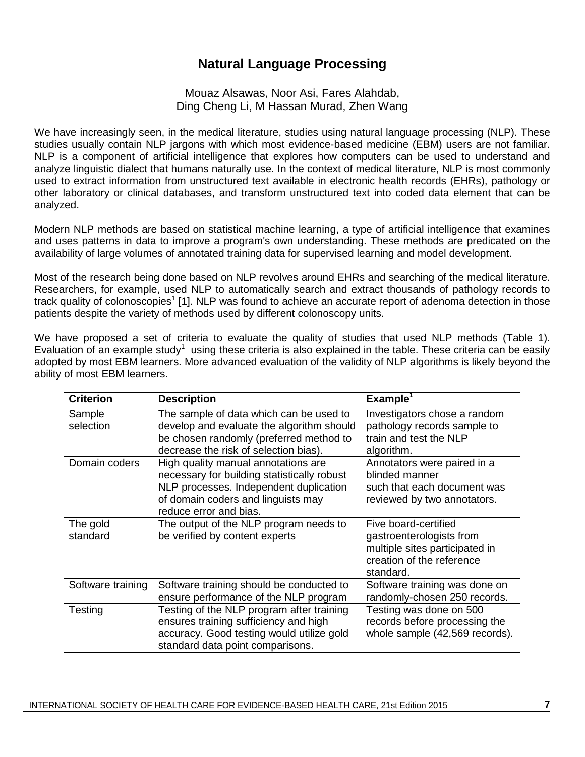# **Natural Language Processing**

Mouaz Alsawas, Noor Asi, Fares Alahdab, Ding Cheng Li, M Hassan Murad, Zhen Wang

We have increasingly seen, in the medical literature, studies using natural language processing (NLP). These studies usually contain NLP jargons with which most evidence-based medicine (EBM) users are not familiar. NLP is a component of artificial intelligence that explores how computers can be used to understand and analyze linguistic dialect that humans naturally use. In the context of medical literature, NLP is most commonly used to extract information from unstructured text available in electronic health records (EHRs), pathology or other laboratory or clinical databases, and transform unstructured text into coded data element that can be analyzed.

Modern NLP methods are based on statistical [machine learning,](http://whatis.techtarget.com/definition/machine-learning) a type of artificial intelligence that examines and uses patterns in data to improve a program's own understanding. These methods are predicated on the availability of large volumes of annotated training data for supervised learning and model development.

Most of the research being done based on NLP revolves around EHRs and searching of the medical literature. Researchers, for example, used NLP to automatically search and extract thousands of pathology records to track quality of colonoscopies<sup>1</sup> [1]. NLP was found to achieve an accurate report of adenoma detection in those patients despite the variety of methods used by different colonoscopy units.

We have proposed a set of criteria to evaluate the quality of studies that used NLP methods (Table 1). Evaluation of an example study<sup>1</sup> using these criteria is also explained in the table. These criteria can be easily adopted by most EBM learners. More advanced evaluation of the validity of NLP algorithms is likely beyond the ability of most EBM learners.

| <b>Criterion</b>     | <b>Description</b>                                                                                                                                                                           | Example <sup>1</sup>                                                                                                         |
|----------------------|----------------------------------------------------------------------------------------------------------------------------------------------------------------------------------------------|------------------------------------------------------------------------------------------------------------------------------|
| Sample<br>selection  | The sample of data which can be used to<br>develop and evaluate the algorithm should<br>be chosen randomly (preferred method to<br>decrease the risk of selection bias).                     | Investigators chose a random<br>pathology records sample to<br>train and test the NLP<br>algorithm.                          |
| Domain coders        | High quality manual annotations are<br>necessary for building statistically robust<br>NLP processes. Independent duplication<br>of domain coders and linguists may<br>reduce error and bias. | Annotators were paired in a<br>blinded manner<br>such that each document was<br>reviewed by two annotators.                  |
| The gold<br>standard | The output of the NLP program needs to<br>be verified by content experts                                                                                                                     | Five board-certified<br>gastroenterologists from<br>multiple sites participated in<br>creation of the reference<br>standard. |
| Software training    | Software training should be conducted to<br>ensure performance of the NLP program                                                                                                            | Software training was done on<br>randomly-chosen 250 records.                                                                |
| Testing              | Testing of the NLP program after training<br>ensures training sufficiency and high<br>accuracy. Good testing would utilize gold<br>standard data point comparisons.                          | Testing was done on 500<br>records before processing the<br>whole sample (42,569 records).                                   |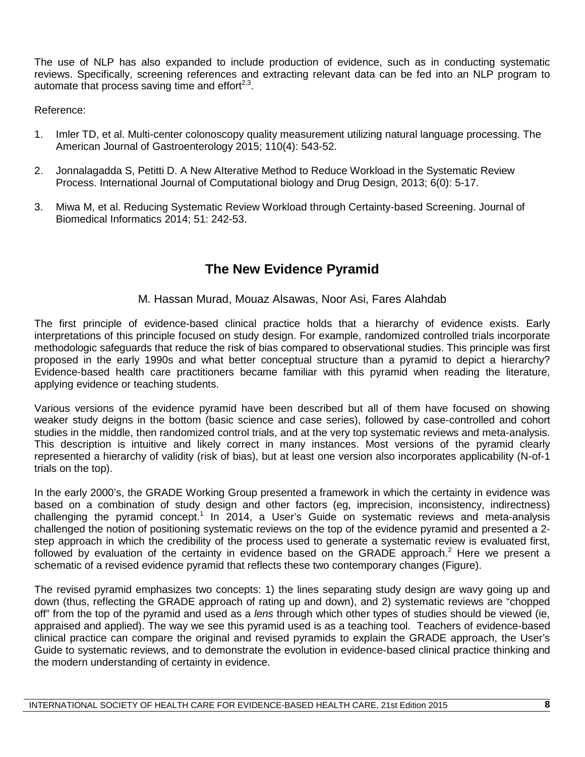The use of NLP has also expanded to include production of evidence, such as in conducting systematic reviews. Specifically, screening references and extracting relevant data can be fed into an NLP program to automate that process saving time and effort $23$ .

Reference:

- 1. Imler TD, et al. Multi-center colonoscopy quality measurement utilizing natural language processing. The American Journal of Gastroenterology 2015; 110(4): 543-52.
- 2. Jonnalagadda S, Petitti D. A New AIterative Method to Reduce Workload in the Systematic Review Process. International Journal of Computational biology and Drug Design, 2013; 6(0): 5-17.
- 3. Miwa M, et al. Reducing Systematic Review Workload through Certainty-based Screening. Journal of Biomedical Informatics 2014; 51: 242-53.

# **The New Evidence Pyramid**

## M. Hassan Murad, Mouaz Alsawas, Noor Asi, Fares Alahdab

The first principle of evidence-based clinical practice holds that a hierarchy of evidence exists. Early interpretations of this principle focused on study design. For example, randomized controlled trials incorporate methodologic safeguards that reduce the risk of bias compared to observational studies. This principle was first proposed in the early 1990s and what better conceptual structure than a pyramid to depict a hierarchy? Evidence-based health care practitioners became familiar with this pyramid when reading the literature, applying evidence or teaching students.

Various versions of the evidence pyramid have been described but all of them have focused on showing weaker study deigns in the bottom (basic science and case series), followed by case-controlled and cohort studies in the middle, then randomized control trials, and at the very top systematic reviews and meta-analysis. This description is intuitive and likely correct in many instances. Most versions of the pyramid clearly represented a hierarchy of validity (risk of bias), but at least one version also incorporates applicability (N-of-1 trials on the top).

In the early 2000's, the GRADE Working Group presented a framework in which the certainty in evidence was based on a combination of study design and other factors (eg, imprecision, inconsistency, indirectness) challenging the pyramid concept.<sup>1</sup> In 2014, a User's Guide on systematic reviews and meta-analysis challenged the notion of positioning systematic reviews on the top of the evidence pyramid and presented a 2 step approach in which the credibility of the process used to generate a systematic review is evaluated first, followed by evaluation of the certainty in evidence based on the GRADE approach.<sup>2</sup> Here we present a schematic of a revised evidence pyramid that reflects these two contemporary changes (Figure).

The revised pyramid emphasizes two concepts: 1) the lines separating study design are wavy going up and down (thus, reflecting the GRADE approach of rating up and down), and 2) systematic reviews are "chopped off" from the top of the pyramid and used as a *lens* through which other types of studies should be viewed (ie, appraised and applied). The way we see this pyramid used is as a teaching tool. Teachers of evidence-based clinical practice can compare the original and revised pyramids to explain the GRADE approach, the User's Guide to systematic reviews, and to demonstrate the evolution in evidence-based clinical practice thinking and the modern understanding of certainty in evidence.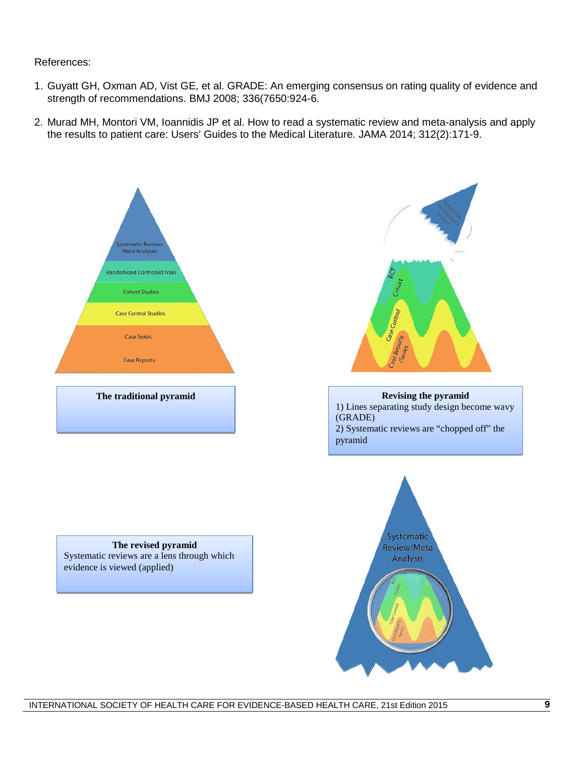### References:

- 1. Guyatt GH, Oxman AD, Vist GE, et al. GRADE: An emerging consensus on rating quality of evidence and strength of recommendations. BMJ 2008; 336(7650:924-6.
- 2. Murad MH, Montori VM, Ioannidis JP et al. How to read a systematic review and meta-analysis and apply the results to patient care: Users' Guides to the Medical Literature. JAMA 2014; 312(2):171-9.





1) Lines separating study design become wavy (GRADE) 2) Systematic reviews are "chopped off" the pyramid



#### **The revised pyramid** Systematic reviews are a lens through which evidence is viewed (applied)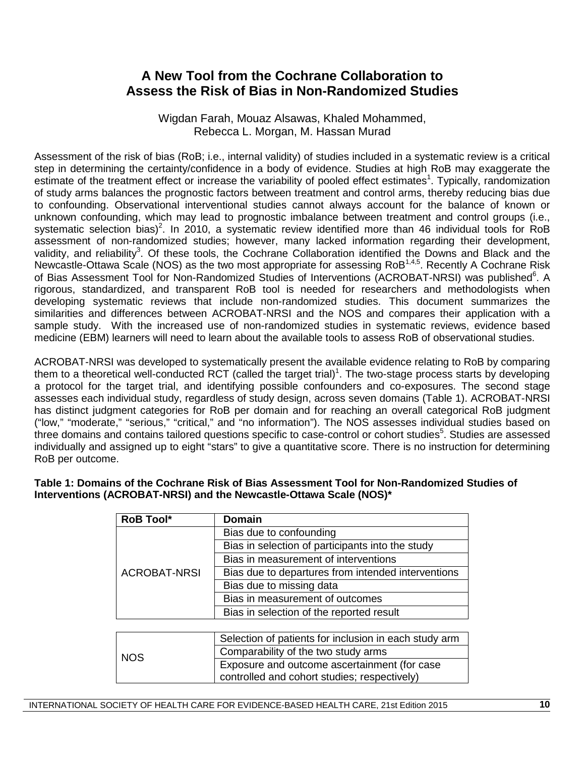# **A New Tool from the Cochrane Collaboration to Assess the Risk of Bias in Non-Randomized Studies**

Wigdan Farah, Mouaz Alsawas, Khaled Mohammed, Rebecca L. Morgan, M. Hassan Murad

Assessment of the risk of bias (RoB; i.e., internal validity) of studies included in a systematic review is a critical step in determining the certainty/confidence in a body of evidence. Studies at high RoB may exaggerate the estimate of the treatment effect or increase the variability of pooled effect estimates<sup>1</sup>. Typically, randomization of study arms balances the prognostic factors between treatment and control arms, thereby reducing bias due to confounding. Observational interventional studies cannot always account for the balance of known or unknown confounding, which may lead to prognostic imbalance between treatment and control groups (i.e., systematic selection bias)<sup>2</sup>. In 2010, a systematic review identified more than 46 individual tools for RoB assessment of non-randomized studies; however, many lacked information regarding their development, validity, and reliability<sup>3</sup>. Of these tools, the Cochrane Collaboration identified the Downs and Black and the Newcastle-Ottawa Scale (NOS) as the two most appropriate for assessing RoB1,4,5. Recently A Cochrane Risk of Bias Assessment Tool for Non-Randomized Studies of Interventions (ACROBAT-NRSI) was published<sup>6</sup>. A rigorous, standardized, and transparent RoB tool is needed for researchers and methodologists when developing systematic reviews that include non-randomized studies. This document summarizes the similarities and differences between ACROBAT-NRSI and the NOS and compares their application with a sample study. With the increased use of non-randomized studies in systematic reviews, evidence based medicine (EBM) learners will need to learn about the available tools to assess RoB of observational studies.

ACROBAT-NRSI was developed to systematically present the available evidence relating to RoB by comparing them to a theoretical well-conducted RCT (called the target trial)<sup>1</sup>. The two-stage process starts by developing a protocol for the target trial, and identifying possible confounders and co-exposures. The second stage assesses each individual study, regardless of study design, across seven domains (Table 1). ACROBAT-NRSI has distinct judgment categories for RoB per domain and for reaching an overall categorical RoB judgment ("low," "moderate," "serious," "critical," and "no information"). The NOS assesses individual studies based on three domains and contains tailored questions specific to case-control or cohort studies<sup>5</sup>. Studies are assessed individually and assigned up to eight "stars" to give a quantitative score. There is no instruction for determining RoB per outcome.

#### **Table 1: Domains of the Cochrane Risk of Bias Assessment Tool for Non-Randomized Studies of Interventions (ACROBAT-NRSI) and the Newcastle-Ottawa Scale (NOS)\***

| <b>RoB Tool*</b>    | <b>Domain</b>                                         |  |
|---------------------|-------------------------------------------------------|--|
|                     | Bias due to confounding                               |  |
|                     | Bias in selection of participants into the study      |  |
|                     | Bias in measurement of interventions                  |  |
| <b>ACROBAT-NRSI</b> | Bias due to departures from intended interventions    |  |
|                     | Bias due to missing data                              |  |
|                     | Bias in measurement of outcomes                       |  |
|                     | Bias in selection of the reported result              |  |
|                     |                                                       |  |
|                     | Selection of patients for inclusion in each study arm |  |
| <b>NOS</b>          | Comparability of the two study arms                   |  |
|                     | Exposure and outcome ascertainment (for case          |  |
|                     | controlled and cohort studies; respectively)          |  |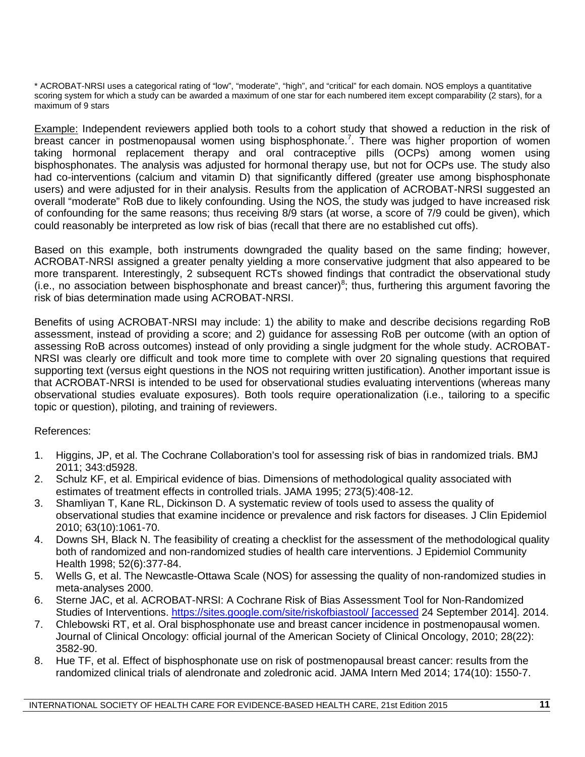\* ACROBAT-NRSI uses a categorical rating of "low", "moderate", "high", and "critical" for each domain. NOS employs a quantitative scoring system for which a study can be awarded a maximum of one star for each numbered item except comparability (2 stars), for a maximum of 9 stars

Example: Independent reviewers applied both tools to a cohort study that showed a reduction in the risk of breast cancer in postmenopausal women using bisphosphonate.<sup>7</sup>. There was higher proportion of women taking hormonal replacement therapy and oral contraceptive pills (OCPs) among women using bisphosphonates. The analysis was adjusted for hormonal therapy use, but not for OCPs use. The study also had co-interventions (calcium and vitamin D) that significantly differed (greater use among bisphosphonate users) and were adjusted for in their analysis. Results from the application of ACROBAT-NRSI suggested an overall "moderate" RoB due to likely confounding. Using the NOS, the study was judged to have increased risk of confounding for the same reasons; thus receiving 8/9 stars (at worse, a score of 7/9 could be given), which could reasonably be interpreted as low risk of bias (recall that there are no established cut offs).

Based on this example, both instruments downgraded the quality based on the same finding; however, ACROBAT-NRSI assigned a greater penalty yielding a more conservative judgment that also appeared to be more transparent. Interestingly, 2 subsequent RCTs showed findings that contradict the observational study  $(i.e., no association between bisphosphonate and breast cancer)<sup>8</sup>; thus, furthering this argument favoring the$ risk of bias determination made using ACROBAT-NRSI.

Benefits of using ACROBAT-NRSI may include: 1) the ability to make and describe decisions regarding RoB assessment, instead of providing a score; and 2) guidance for assessing RoB per outcome (with an option of assessing RoB across outcomes) instead of only providing a single judgment for the whole study. ACROBAT-NRSI was clearly ore difficult and took more time to complete with over 20 signaling questions that required supporting text (versus eight questions in the NOS not requiring written justification). Another important issue is that ACROBAT-NRSI is intended to be used for observational studies evaluating interventions (whereas many observational studies evaluate exposures). Both tools require operationalization (i.e., tailoring to a specific topic or question), piloting, and training of reviewers.

### References:

- 1. Higgins, JP, et al. The Cochrane Collaboration's tool for assessing risk of bias in randomized trials. BMJ 2011; 343:d5928.
- 2. Schulz KF, et al. Empirical evidence of bias. Dimensions of methodological quality associated with estimates of treatment effects in controlled trials. JAMA 1995; 273(5):408-12.
- 3. Shamliyan T, Kane RL, Dickinson D. A systematic review of tools used to assess the quality of observational studies that examine incidence or prevalence and risk factors for diseases. J Clin Epidemiol 2010; 63(10):1061-70.
- 4. Downs SH, Black N. The feasibility of creating a checklist for the assessment of the methodological quality both of randomized and non-randomized studies of health care interventions. J Epidemiol Community Health 1998; 52(6):377-84.
- 5. Wells G, et al. The Newcastle-Ottawa Scale (NOS) for assessing the quality of non-randomized studies in meta-analyses 2000.
- 6. Sterne JAC, et al. ACROBAT-NRSI: A Cochrane Risk of Bias Assessment Tool for Non-Randomized Studies of Interventions. [https://sites.google.com/site/riskofbiastool/ \[accessed](https://sites.google.com/site/riskofbiastool/%20%5baccessed) 24 September 2014]. 2014.
- 7. Chlebowski RT, et al. Oral bisphosphonate use and breast cancer incidence in postmenopausal women. Journal of Clinical Oncology: official journal of the American Society of Clinical Oncology, 2010; 28(22): 3582-90.
- 8. Hue TF, et al. Effect of bisphosphonate use on risk of postmenopausal breast cancer: results from the randomized clinical trials of alendronate and zoledronic acid. JAMA Intern Med 2014; 174(10): 1550-7.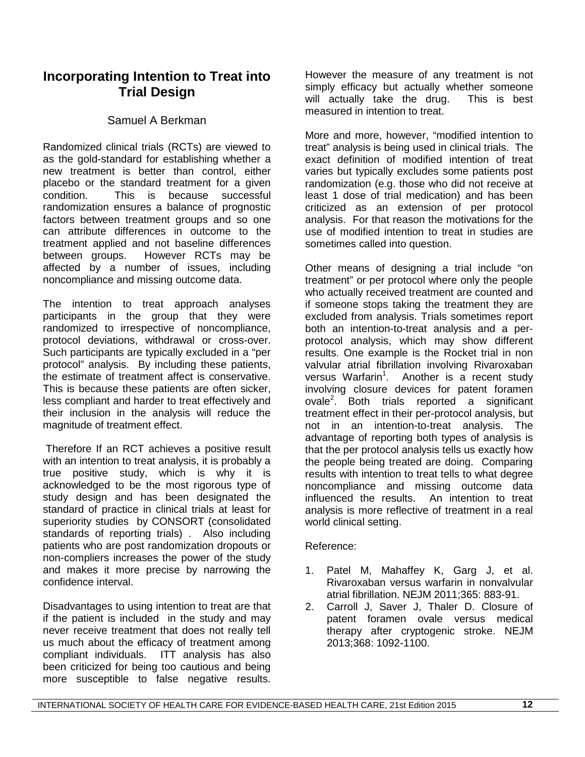# **Incorporating Intention to Treat into Trial Design**

## Samuel A Berkman

Randomized clinical trials (RCTs) are viewed to as the gold-standard for establishing whether a new treatment is better than control, either placebo or the standard treatment for a given condition. This is because successful randomization ensures a balance of prognostic factors between treatment groups and so one can attribute differences in outcome to the treatment applied and not baseline differences between groups. However RCTs may be affected by a number of issues, including noncompliance and missing outcome data.

The intention to treat approach analyses participants in the group that they were randomized to irrespective of noncompliance, protocol deviations, withdrawal or cross-over. Such participants are typically excluded in a "per protocol" analysis. By including these patients, the estimate of treatment affect is conservative. This is because these patients are often sicker, less compliant and harder to treat effectively and their inclusion in the analysis will reduce the magnitude of treatment effect.

Therefore If an RCT achieves a positive result with an intention to treat analysis, it is probably a true positive study, which is why it is acknowledged to be the most rigorous type of study design and has been designated the standard of practice in clinical trials at least for superiority studies by CONSORT (consolidated standards of reporting trials) . Also including patients who are post randomization dropouts or non-compliers increases the power of the study and makes it more precise by narrowing the confidence interval.

Disadvantages to using intention to treat are that if the patient is included in the study and may never receive treatment that does not really tell us much about the efficacy of treatment among compliant individuals. ITT analysis has also been criticized for being too cautious and being However the measure of any treatment is not simply efficacy but actually whether someone will actually take the drug. This is best measured in intention to treat.

More and more, however, "modified intention to treat" analysis is being used in clinical trials. The exact definition of modified intention of treat varies but typically excludes some patients post randomization (e.g. those who did not receive at least 1 dose of trial medication) and has been criticized as an extension of per protocol analysis. For that reason the motivations for the use of modified intention to treat in studies are sometimes called into question.

Other means of designing a trial include "on treatment" or per protocol where only the people who actually received treatment are counted and if someone stops taking the treatment they are excluded from analysis. Trials sometimes report both an intention-to-treat analysis and a perprotocol analysis, which may show different results. One example is the Rocket trial in non valvular atrial fibrillation involving Rivaroxaban versus Warfarin<sup>1</sup>. Another is a recent study involving closure devices for patent foramen ovale<sup>2</sup>. Both trials reported a significant treatment effect in their per-protocol analysis, but not in an intention-to-treat analysis. The advantage of reporting both types of analysis is that the per protocol analysis tells us exactly how the people being treated are doing. Comparing results with intention to treat tells to what degree noncompliance and missing outcome data influenced the results. An intention to treat analysis is more reflective of treatment in a real world clinical setting.

Reference:

- 1. Patel M, Mahaffey K, Garg J, et al. Rivaroxaban versus warfarin in nonvalvular atrial fibrillation. NEJM 2011;365: 883-91.
- 2. Carroll J, Saver J, Thaler D. Closure of patent foramen ovale versus medical therapy after cryptogenic stroke. NEJM 2013;368: 1092-1100.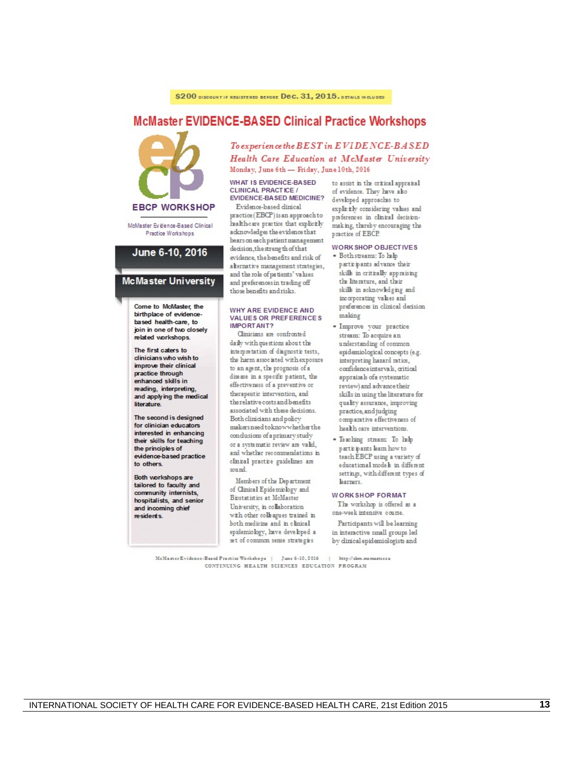## **McMaster EVIDENCE-BASED Clinical Practice Workshops**



McMaster Evidence-Based Clinical Practice Workshops

#### June 6-10, 2016

#### **McMaster University**

Come to McMaster, the birtholace of evidencebased health-care to join in one of two closely related workshops.

The first caters to clinicians who wish to improve their clinical practice through enhanced skills in reading, interpreting, and applying the medical literature.

The second is designed for clinician educators interested in enhancing their skills for teaching the principles of evidence-based practice to others.

Both workshops are tailored to faculty and community internists, hospitalists, and senior and incoming chief residents.

To experience the BEST in EVIDENCE-BASED Health Care Education at McMaster University Monday, June 6th - Friday, June 10th, 2016

WHAT IS EVIDENCE-BASED **CLINICAL PRACTICE /** EVIDENCE-BASED MEDICINE?

Evidence-based clinical practice (EBCP) is an approach to health-care practice that explicitly acknowledges the evidence that bears on each patient management decision, the strength of that evidence, the benefits and risk of alternative management strategies, and the role of patients' values and preferences in trading off those benefits and risks.

#### WHY ARE EVIDENCE AND **VALUES OR PREFERENCES** IMPORTANT?

Clinicians are confronted daily with questions about the interpretation of diagnostic tests. the harm associated with exposure to an agent, the prognosis of a disease in a specific patient, the effectiveness of a preventive or therapeutic intervention, and the relative costs and benefits associated with these decisions. Both clinicians and policy makers need to know whether the conclusions of a primary study or a systematic review are valid. and whether recommendations in clinical practice guidelines are sound.

Members of the Department of Clinical Epidemiology and Biostatistics at McMaster University, in collaboration with other colleagues trained in both medicine and in clinical epidemiology, have developed a set of common sense strategies

to assist in the critical appraisal of evidence. They have also developed approaches to explicitly considering values and preferences in clinical decisionmaking, thereby encouraging the practice of EBCP.

#### WORK SHOP OBJECTIVES

- · Both streams: To help participants advance their skills in critically appraising the literature, and their skills in acknowledging and incorporating values and preferences in clinical decision making
- · Improve your practice stream: To acquire an understanding of common epidemiological concepts (e.g. interpreting hazard ratios, confidence intervals, critical appraisals of a systematic review) and advance their skills in using the literature for quality assurance, improving practice, and judging comparative effectiveness of health care interventions
- · Teaching stream: To help participants learn how to teach EBCP using a variety of educational models in different settings, with different types of **Learners**

#### **WORKSHOP FORMAT**

The workshop is offered as a one-week intensive course.

Participants will be learning in interactive small groups led by dinical epidemiologists and

McMaster Evidence-Based Practice Workshops | June 6-10, 2016 | http://ebm.memaster.ca CONTINUING HEALTH SCIENCES EDUCATION PROGRAM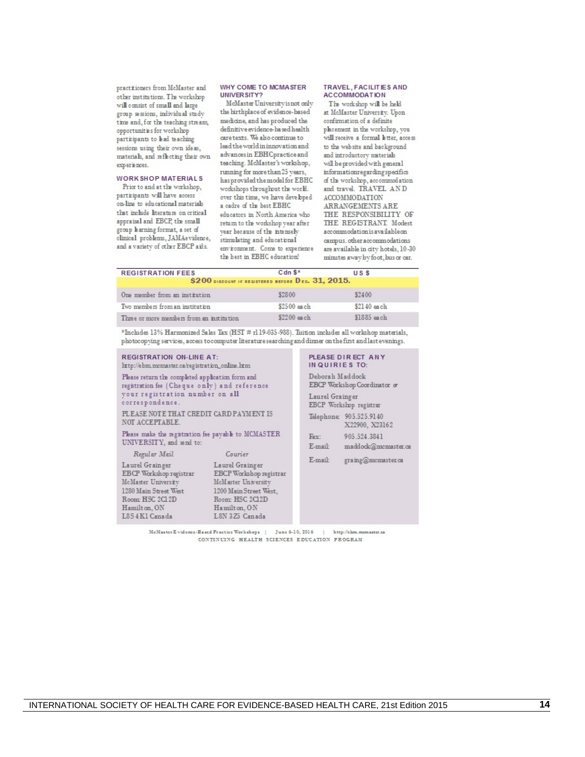practitioners from McMaster and other institutions. The workshop will consist of small and large group sessions, individual study time and, for the teaching stream, opportunities for workshop participants to had teaching sessions using their own ideas, materials, and reflecting their own experiences.

#### WORK SHOP MATERIALS

Prior to and at the workshop, participants will have access on-line to educational materials that include literature on critical appraisal and EBCP, the small group harning format, a set of clinical problems, JAMAevidence, and a variety of other EBCP aids.

Hamilton, ON

L8S4K1 Canada

#### WHY COME TO MCMASTER UNIVER SITY?

McMaster University is not only the hirthplace of evidence-based medicine, and has produced the definitive evidence-based health care texts. We also continue to lead the world in innovation and advances in EBH Cpractice and teaching. McMaster's workshop, running for more than 25 years. has provided the model for EBHC workshops throughout the world. over this time, we have developed a cadre of the best EBHC educators in North America who return to the workshop year after year because of the intensely stimulating and educational environment. Come to experience the best in EBHC education!

#### TRAVEL, FACILITIES AND **ACCOMMODATION**

The workshop will be held at McMaster University. Upon confirmation of a definite placement in the workshop, you will receive a formal letter, access to the website and background and introductory materials will be provided with general informationregarding specifics of the workshop, accommodation and travel. TRAVEL AND ACCOMMODATION **ARRANGEMENTS ARE** THE RESPONSIBILITY OF THE REGISTRANT Modest accommodation is available on campus, other accommodations are available in city hotels, 10-30 minutes away by foot, bus or car.

#### **REGISTRATION FEES** Cdn \$\* **USS** \$200 DISCOUNT IF REGISTERED BEFORE Dec. 31, 2015.

| One member from an institution            | \$2800      | \$2400      |  |
|-------------------------------------------|-------------|-------------|--|
| Two members from an institution           | \$2500 each | \$2140 each |  |
| Three or more members from an institution | \$2200 each | \$1885 each |  |

\*Includes 13% Harmonized Sales Tax (HST # r119-035-988). Tuition includes all workshop materials, photocopying services, access to computer literature searching and dirmer on the first and last evenings.

| <b>REGISTRATION ON-LINE AT:</b><br>http://ebm.mcmaster.ca/registration_online.htm                                                                      |                                                                   |  |
|--------------------------------------------------------------------------------------------------------------------------------------------------------|-------------------------------------------------------------------|--|
| Please return the completed application form and<br>registration fee (Cheque only) and reference<br>your registration number on all<br>correspondence. |                                                                   |  |
| PLEASE NOTE THAT CREDIT CARD PAYMENT IS<br>NOT ACCEPTABLE.                                                                                             |                                                                   |  |
| Please make the registration fee payable to MCMASTER<br>UNIVERSITY, and send to:                                                                       |                                                                   |  |
| Regular Mail                                                                                                                                           | Courier                                                           |  |
| Laurel Grainger<br>EBCP Workshop registrar<br>McMaster University                                                                                      | Laurel Grainger<br>EBCP Workshop registrar<br>McMaster University |  |
| 1280 Main Street West<br>Boom: HSC 3C13D                                                                                                               | 1200 Main Street West,<br>Bassy HSC 2012D                         |  |

#### PLEASE DIRECT ANY INQUIRIES TO:

Deborah Maddock EBCP Workshop Coordinator or Laurel Grainger EBCP Workshop registrar Telephone: 905.525.9140 X22900, X23162 Fax: 905.524.3841  $E$ -mail: maddock@mcmaster.ca

E-mail: graing@mcmaster.ca

McMaster E vidence-Based Fractice Workshops | June 6-10, 2016 | http://ebm.memaster.ca CONTINUING HEALTH SCIENCES EDUCATION PROGRAM

Hamilton, ON

L8N 3Z5 Canada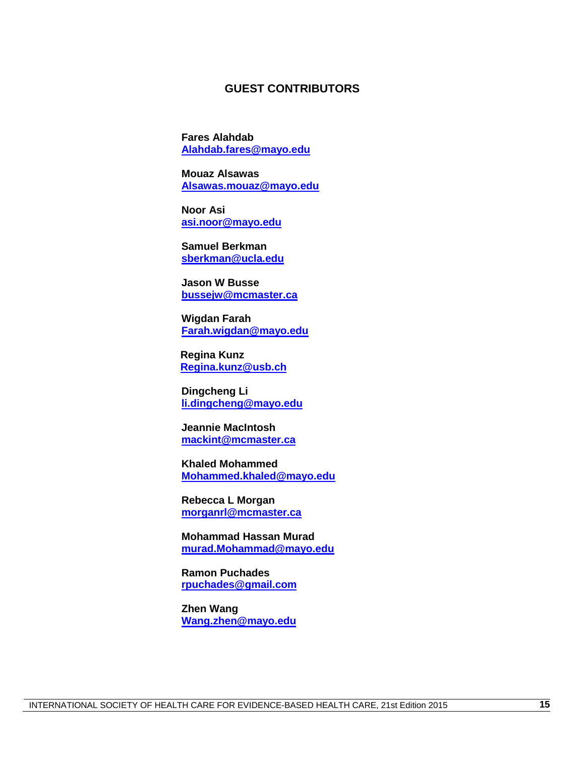### **GUEST CONTRIBUTORS**

**Fares Alahdab [Alahdab.fares@mayo.edu](mailto:Alahdab.fares@mayo.edu)**

**Mouaz Alsawas [Alsawas.mouaz@mayo.edu](mailto:Alsawas.mouaz@mayo.edu)**

**Noor Asi [asi.noor@mayo.edu](mailto:asi.noor@mayo.edu)**

**Samuel Berkman [sberkman@ucla.edu](mailto:sberkman@ucla.edu)**

**Jason W Busse [bussejw@mcmaster.ca](mailto:bussejw@mcmaster.ca)**

**Wigdan Farah [Farah.wigdan@mayo.edu](mailto:Farah.wigdan@mayo.edu)**

**Regina Kunz [Regina.kunz@usb.ch](mailto:Regina.kunz@usb.ch)**

**Dingcheng Li [li.dingcheng@mayo.edu](mailto:li.dingcheng@mayo.edu)**

**Jeannie MacIntosh [mackint@mcmaster.ca](mailto:mackint@mcmaster.ca)**

**Khaled Mohammed [Mohammed.khaled@mayo.edu](mailto:Mohammed.khaled@mayo.edu)**

**Rebecca L Morgan [morganrl@mcmaster.ca](mailto:morganrl@mcmaster.ca)**

**Mohammad Hassan Murad [murad.Mohammad@mayo.edu](mailto:murad.Mohammad@mayo.edu)**

**Ramon Puchades [rpuchades@gmail.com](mailto:rpuchades@gmail.com)**

**Zhen Wang [Wang.zhen@mayo.edu](mailto:Wang.zhen@mayo.edu)**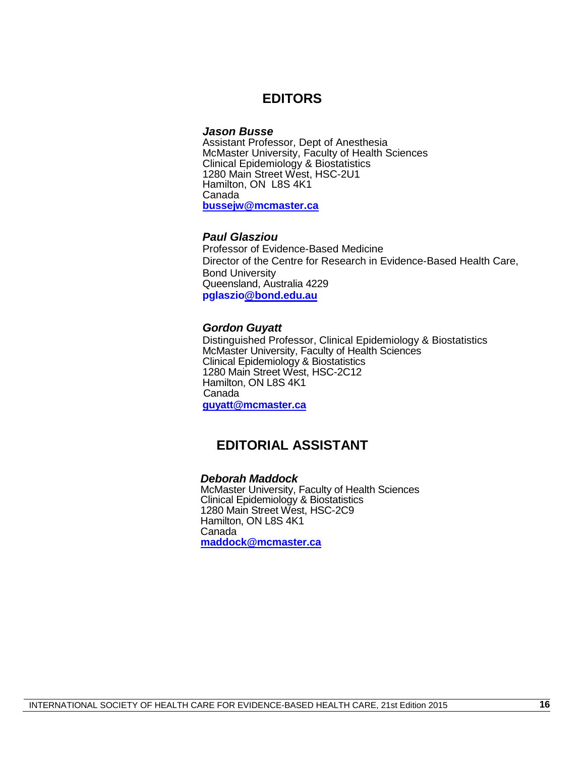## **EDITORS**

#### *Jason Busse*

Assistant Professor, Dept of Anesthesia McMaster University, Faculty of Health Sciences Clinical Epidemiology & Biostatistics 1280 Main Street West, HSC-2U1 Hamilton, ON L8S 4K1 Canada **[bussejw@mcmaster.ca](mailto:bussejw@mcmaster.ca)**

### *Paul Glasziou*

Professor of Evidence-Based Medicine Director of the Centre for Research in Evidence-Based Health Care, Bond University Queensland, Australia 4229 **pglaszi[o@bond.edu.au](mailto:Paul_Glasziou@bond.edu.au)**

#### *Gordon Guyatt*

Distinguished Professor, Clinical Epidemiology & Biostatistics McMaster University, Faculty of Health Sciences Clinical Epidemiology & Biostatistics 1280 Main Street West, HSC-2C12 Hamilton, ON L8S 4K1 Canada **[guyatt@mcmaster.ca](mailto:guyatt@mcmaster.ca)**

# **EDITORIAL ASSISTANT**

### *Deborah Maddock*

McMaster University, Faculty of Health Sciences Clinical Epidemiology & Biostatistics 1280 Main Street West, HSC-2C9 Hamilton, ON L8S 4K1 Canada **[maddock@mcmaster.ca](mailto:maddock@mcmaster.ca)**